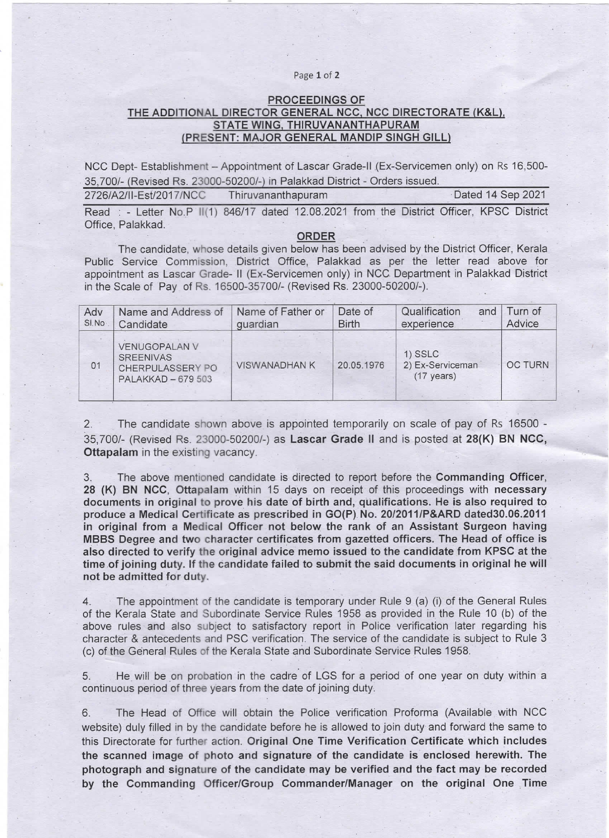## Page 1 of 2

## PROCEEDINGS OF THE ADDITIONAL DIRECTOR GENERAL NCC, NCC DIRECTORATE (K&L), STATE WING, THIRUVANANTHAPURAM (PRESENT: MAJOR GENERAL MANDIP SINGH GILL)

NCC Dept- Establishment - Appointment of Lascar Grade-II (Ex-Servicemen only) on Rs 16,500-35,700/- Revised Rs. 23000-50200/- in Palakkad District -Orders issued.

| 2726/A2/II-Est/2017/NCC | I hiruvananthapuram | Dated 14 Sep 2021 |
|-------------------------|---------------------|-------------------|
|                         |                     |                   |

Read : - Letter No.P II(1) 846/17 dated 12.08.2021 from the District Officer, KPSC District Office, Palakkad.

## ORDER

The candidate, whose details given below has been advised by the District Officer, Kerala Public Service Commission, District Office, Palakkad as per the letter read above for appointment as Lascar Grade-11 (Ex-Servicemen only) in NCC. Department in Palakkad District in the Scale of Pay of Rs.16500-35700/-(Revised Rs. 23000-50200/-).

| Adv<br>SI.No | Name and Address of<br>Candidate                                                   | Name of Father or<br>quardian | Date of<br><b>Birth</b> | Qualification<br>and<br>experience.                   | Turn of<br>Advice |
|--------------|------------------------------------------------------------------------------------|-------------------------------|-------------------------|-------------------------------------------------------|-------------------|
| 01           | <b>VENUGOPALAN V</b><br><b>SREENIVAS</b><br>CHERPULASSERY PO<br>PALAKKAD - 679 503 | <b>VISWANADHAN K</b>          | 20.05.1976              | $1)$ SSLC<br>2) Ex-Serviceman<br>$(17 \text{ years})$ | <b>OC TURN</b>    |

2. The candidate shown above is appointed temporarily on scale of pay of Rs 16500 -35,700/- (Revised Rs. 23000-50200/-) as Lascar Grade 11 and is posted at 28(K) BN NCC, Ottapalam in the existing vacancy.

3. The above mentioned candidate is directed to report before the Commanding Officer, 28 (K) BN NCC, Ottapalam within 15 days on receipt of this proceedings with necessary documents in original to prove his date of birth and, qualifications. He is also required to produce a Medical Certificate as prescribed jn GO(P) No. 20/2011/P&ARD dated30.06.2011 in original from a Medical Officer not below the rank of an Assistant Surgeon having MBBS Degree and two character certificates from gazetted officers. The Head of office is also directed to verify the original advice memo issued to the candidate from KPSC at the time of joining duty. If the candidate failed to submit the said documents in original he will not be admitted for duty.

4. The appointment of the candidate is temporary under Rule 9 (a) (i) of the General Rules of the Kerala State and Subordinate Service Rules 1958 as provided in the Rule 10 (b) of the above rules and also subject to satisfactory report in Police verification later regarding his character & antecedents and PSC verification. The service of the candidate is subject to Rule 3 (c) of the General Rules of the Kerala State ahd Subordinate Service Rules 1958.

5. He will be on probation in the cadre of LGS for a period of one year on duty within a continuous period of three years from the date of joining duty.

6. The Head of Office wiH obtain the Police verification Proforma (Available with NCC website) duly filled in by the candidate before he is allowed to join duty and forward the same to this Directorate for further action. Original One Time Verification Certificate which includes the scanned image of photo and signature of the candidate is enclosed herewith. The photograph and signature of the candidate may be verified and the fact may be recorded by the Commanding Officer/Group Commander/Manager on the original One Time